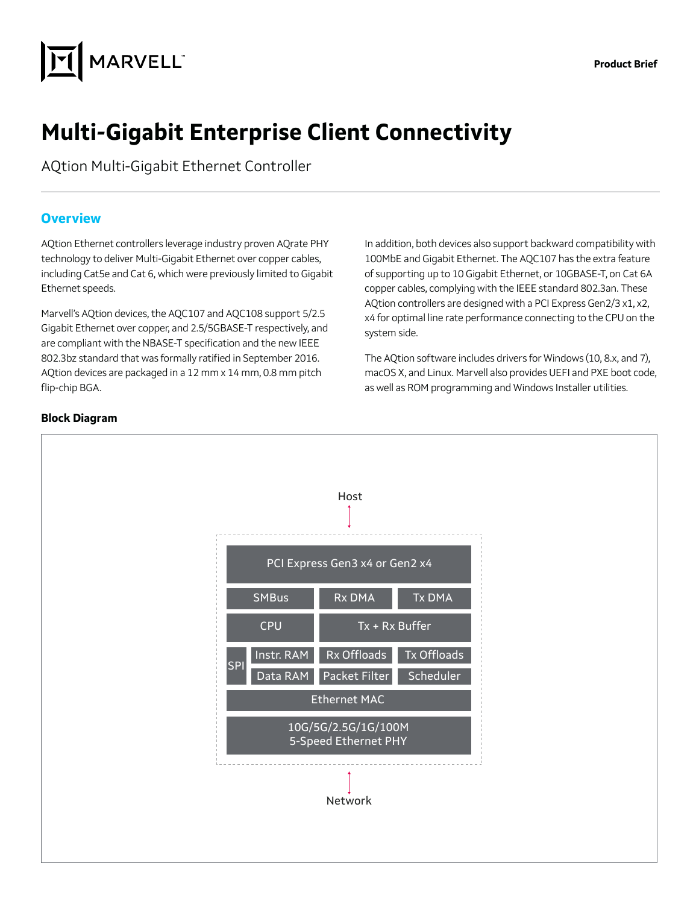

# **Multi-Gigabit Enterprise Client Connectivity**

AQtion Multi-Gigabit Ethernet Controller

#### **Overview**

AQtion Ethernet controllers leverage industry proven AQrate PHY technology to deliver Multi-Gigabit Ethernet over copper cables, including Cat5e and Cat 6, which were previously limited to Gigabit Ethernet speeds.

Marvell's AQtion devices, the AQC107 and AQC108 support 5/2.5 Gigabit Ethernet over copper, and 2.5/5GBASE-T respectively, and are compliant with the NBASE-T specification and the new IEEE 802.3bz standard that was formally ratified in September 2016. AQtion devices are packaged in a 12 mm x 14 mm, 0.8 mm pitch flip-chip BGA.

In addition, both devices also support backward compatibility with 100MbE and Gigabit Ethernet. The AQC107 has the extra feature of supporting up to 10 Gigabit Ethernet, or 10GBASE-T, on Cat 6A copper cables, complying with the IEEE standard 802.3an. These AQtion controllers are designed with a PCI Express Gen2/3 x1, x2, x4 for optimal line rate performance connecting to the CPU on the system side.

The AQtion software includes drivers for Windows (10, 8.x, and 7), macOS X, and Linux. Marvell also provides UEFI and PXE boot code, as well as ROM programming and Windows Installer utilities.



#### **Block Diagram**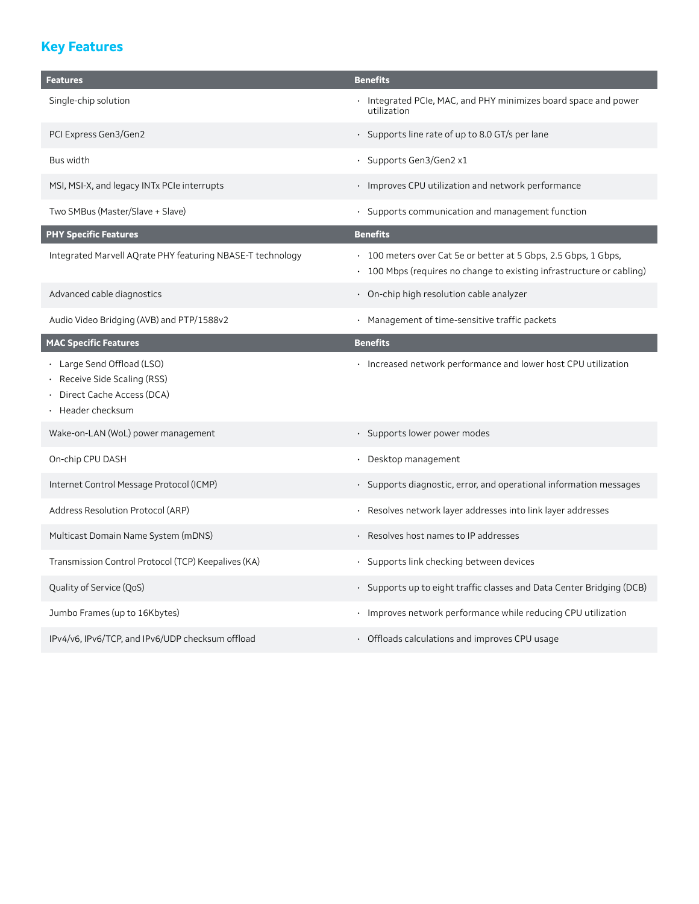## **Key Features**

| <b>Features</b>                                                                                          | <b>Benefits</b>                                                                                                                          |  |
|----------------------------------------------------------------------------------------------------------|------------------------------------------------------------------------------------------------------------------------------------------|--|
| Single-chip solution                                                                                     | · Integrated PCIe, MAC, and PHY minimizes board space and power<br>utilization                                                           |  |
| PCI Express Gen3/Gen2                                                                                    | · Supports line rate of up to 8.0 GT/s per lane                                                                                          |  |
| Bus width                                                                                                | · Supports Gen3/Gen2 x1                                                                                                                  |  |
| MSI, MSI-X, and legacy INTx PCIe interrupts                                                              | • Improves CPU utilization and network performance                                                                                       |  |
| Two SMBus (Master/Slave + Slave)                                                                         | · Supports communication and management function                                                                                         |  |
| <b>PHY Specific Features</b>                                                                             | <b>Benefits</b>                                                                                                                          |  |
| Integrated Marvell AQrate PHY featuring NBASE-T technology                                               | • 100 meters over Cat 5e or better at 5 Gbps, 2.5 Gbps, 1 Gbps,<br>• 100 Mbps (requires no change to existing infrastructure or cabling) |  |
| Advanced cable diagnostics                                                                               | · On-chip high resolution cable analyzer                                                                                                 |  |
| Audio Video Bridging (AVB) and PTP/1588v2                                                                | · Management of time-sensitive traffic packets                                                                                           |  |
| <b>MAC Specific Features</b>                                                                             | <b>Benefits</b>                                                                                                                          |  |
| · Large Send Offload (LSO)<br>Receive Side Scaling (RSS)<br>Direct Cache Access (DCA)<br>Header checksum | · Increased network performance and lower host CPU utilization                                                                           |  |
| Wake-on-LAN (WoL) power management                                                                       | · Supports lower power modes                                                                                                             |  |
| On-chip CPU DASH                                                                                         | · Desktop management                                                                                                                     |  |
| Internet Control Message Protocol (ICMP)                                                                 | · Supports diagnostic, error, and operational information messages                                                                       |  |
| Address Resolution Protocol (ARP)                                                                        | Resolves network layer addresses into link layer addresses<br>$\bullet$                                                                  |  |
| Multicast Domain Name System (mDNS)                                                                      | · Resolves host names to IP addresses                                                                                                    |  |
| Transmission Control Protocol (TCP) Keepalives (KA)                                                      | · Supports link checking between devices                                                                                                 |  |
| Quality of Service (QoS)                                                                                 | · Supports up to eight traffic classes and Data Center Bridging (DCB)                                                                    |  |
| Jumbo Frames (up to 16Kbytes)                                                                            | · Improves network performance while reducing CPU utilization                                                                            |  |
| IPv4/v6, IPv6/TCP, and IPv6/UDP checksum offload                                                         | • Offloads calculations and improves CPU usage                                                                                           |  |